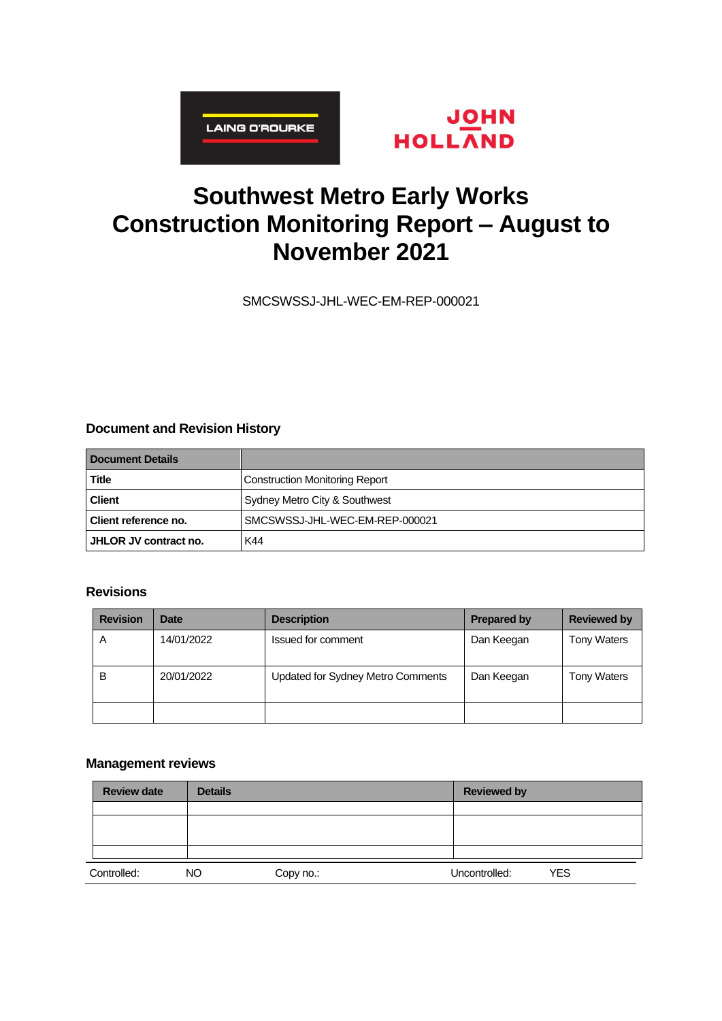



# **Southwest Metro Early Works Construction Monitoring Report – August to November 2021**

SMCSWSSJ-JHL-WEC-EM-REP-000021

### **Document and Revision History**

| Document Details               |                                       |
|--------------------------------|---------------------------------------|
| Title                          | <b>Construction Monitoring Report</b> |
| <b>Client</b>                  | Sydney Metro City & Southwest         |
| Client reference no.           | SMCSWSSJ-JHL-WEC-EM-REP-000021        |
| <b>I JHLOR JV contract no.</b> | K44                                   |

### **Revisions**

| <b>Revision</b> | <b>Date</b> | <b>Description</b>                | <b>Prepared by</b> | <b>Reviewed by</b> |
|-----------------|-------------|-----------------------------------|--------------------|--------------------|
| A               | 14/01/2022  | Issued for comment                | Dan Keegan         | <b>Tony Waters</b> |
| B               | 20/01/2022  | Updated for Sydney Metro Comments | Dan Keegan         | <b>Tony Waters</b> |
|                 |             |                                   |                    |                    |

### **Management reviews**

| <b>Review date</b> | <b>Details</b> |           | <b>Reviewed by</b> |            |
|--------------------|----------------|-----------|--------------------|------------|
|                    |                |           |                    |            |
|                    |                |           |                    |            |
|                    |                |           |                    |            |
|                    |                |           |                    |            |
| Controlled:        | NO.            | Copy no.: | Uncontrolled:      | <b>YES</b> |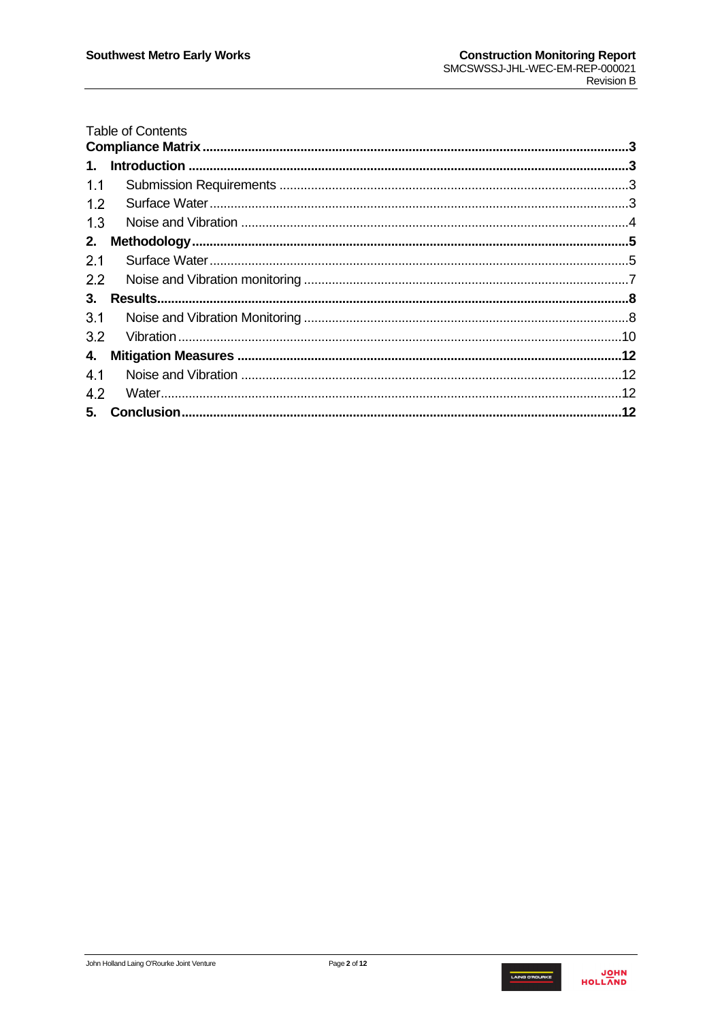|               | <b>Table of Contents</b> |  |
|---------------|--------------------------|--|
|               |                          |  |
| $\mathbf 1$ . |                          |  |
| 1.1           |                          |  |
| 1.2           |                          |  |
| 1.3           |                          |  |
| 2.            |                          |  |
| 2.1           |                          |  |
| 2.2           |                          |  |
| 3.            |                          |  |
| 3.1           |                          |  |
| 32            |                          |  |
| 4.            |                          |  |
| 4.1           |                          |  |
| 4.2           |                          |  |
| 5.            |                          |  |

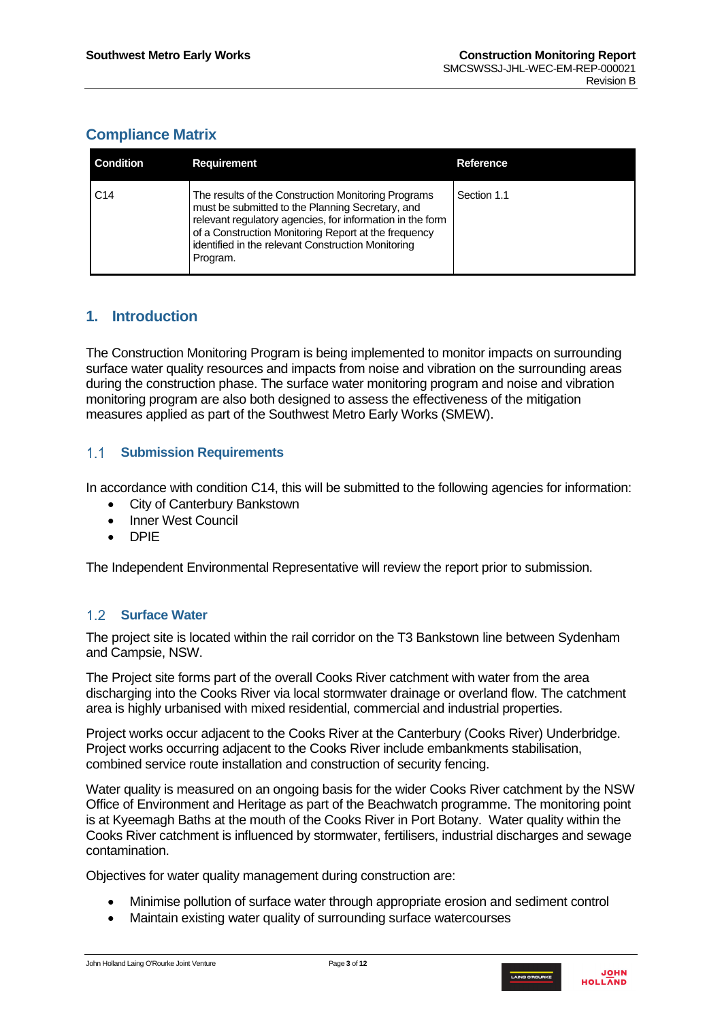# <span id="page-2-0"></span>**Compliance Matrix**

| <b>Condition</b> | <b>Requirement</b>                                                                                                                                                                                                                                                                             | Reference   |
|------------------|------------------------------------------------------------------------------------------------------------------------------------------------------------------------------------------------------------------------------------------------------------------------------------------------|-------------|
| C <sub>14</sub>  | The results of the Construction Monitoring Programs<br>must be submitted to the Planning Secretary, and<br>relevant regulatory agencies, for information in the form<br>of a Construction Monitoring Report at the frequency<br>identified in the relevant Construction Monitoring<br>Program. | Section 1.1 |

# <span id="page-2-1"></span>**1. Introduction**

The Construction Monitoring Program is being implemented to monitor impacts on surrounding surface water quality resources and impacts from noise and vibration on the surrounding areas during the construction phase. The surface water monitoring program and noise and vibration monitoring program are also both designed to assess the effectiveness of the mitigation measures applied as part of the Southwest Metro Early Works (SMEW).

#### <span id="page-2-2"></span> $1.1 -$ **Submission Requirements**

In accordance with condition C14, this will be submitted to the following agencies for information:

- City of Canterbury Bankstown
- Inner West Council
- DPIE

The Independent Environmental Representative will review the report prior to submission.

### <span id="page-2-3"></span>**Surface Water**

The project site is located within the rail corridor on the T3 Bankstown line between Sydenham and Campsie, NSW.

The Project site forms part of the overall Cooks River catchment with water from the area discharging into the Cooks River via local stormwater drainage or overland flow. The catchment area is highly urbanised with mixed residential, commercial and industrial properties.

Project works occur adjacent to the Cooks River at the Canterbury (Cooks River) Underbridge. Project works occurring adjacent to the Cooks River include embankments stabilisation, combined service route installation and construction of security fencing.

Water quality is measured on an ongoing basis for the wider Cooks River catchment by the NSW Office of Environment and Heritage as part of the Beachwatch programme. The monitoring point is at Kyeemagh Baths at the mouth of the Cooks River in Port Botany. Water quality within the Cooks River catchment is influenced by stormwater, fertilisers, industrial discharges and sewage contamination.

Objectives for water quality management during construction are:

- Minimise pollution of surface water through appropriate erosion and sediment control
- Maintain existing water quality of surrounding surface watercourses

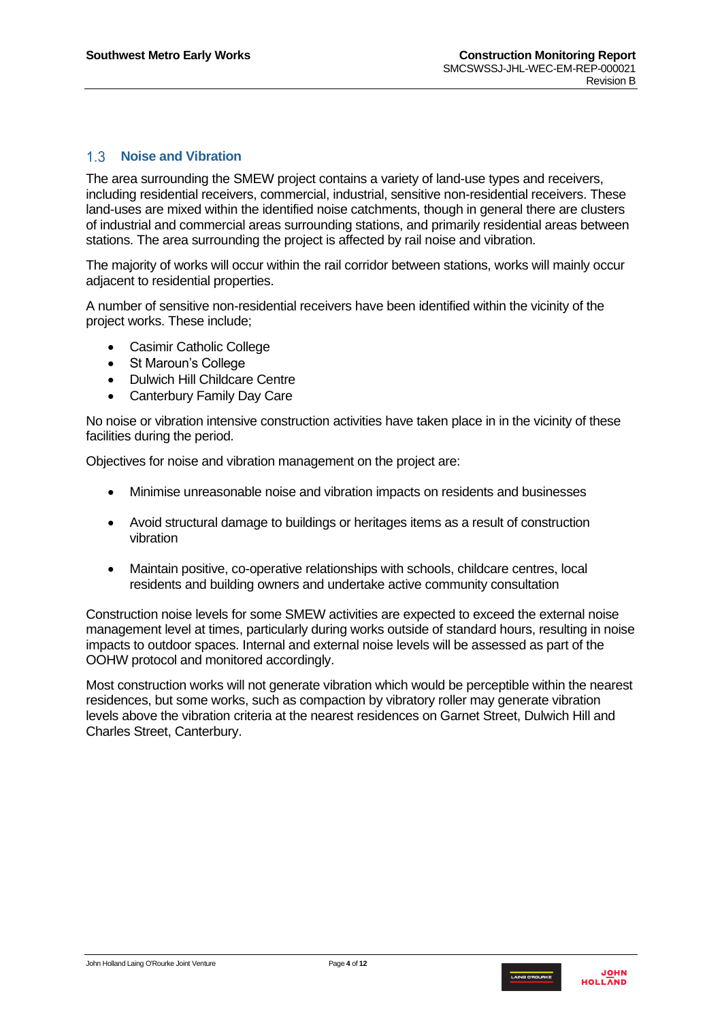### <span id="page-3-0"></span>**Noise and Vibration**

The area surrounding the SMEW project contains a variety of land-use types and receivers, including residential receivers, commercial, industrial, sensitive non-residential receivers. These land-uses are mixed within the identified noise catchments, though in general there are clusters of industrial and commercial areas surrounding stations, and primarily residential areas between stations. The area surrounding the project is affected by rail noise and vibration.

The majority of works will occur within the rail corridor between stations, works will mainly occur adjacent to residential properties.

A number of sensitive non-residential receivers have been identified within the vicinity of the project works. These include;

- Casimir Catholic College
- St Maroun's College
- Dulwich Hill Childcare Centre
- Canterbury Family Day Care

No noise or vibration intensive construction activities have taken place in in the vicinity of these facilities during the period.

Objectives for noise and vibration management on the project are:

- Minimise unreasonable noise and vibration impacts on residents and businesses
- Avoid structural damage to buildings or heritages items as a result of construction vibration
- Maintain positive, co-operative relationships with schools, childcare centres, local residents and building owners and undertake active community consultation

Construction noise levels for some SMEW activities are expected to exceed the external noise management level at times, particularly during works outside of standard hours, resulting in noise impacts to outdoor spaces. Internal and external noise levels will be assessed as part of the OOHW protocol and monitored accordingly.

Most construction works will not generate vibration which would be perceptible within the nearest residences, but some works, such as compaction by vibratory roller may generate vibration levels above the vibration criteria at the nearest residences on Garnet Street, Dulwich Hill and Charles Street, Canterbury.

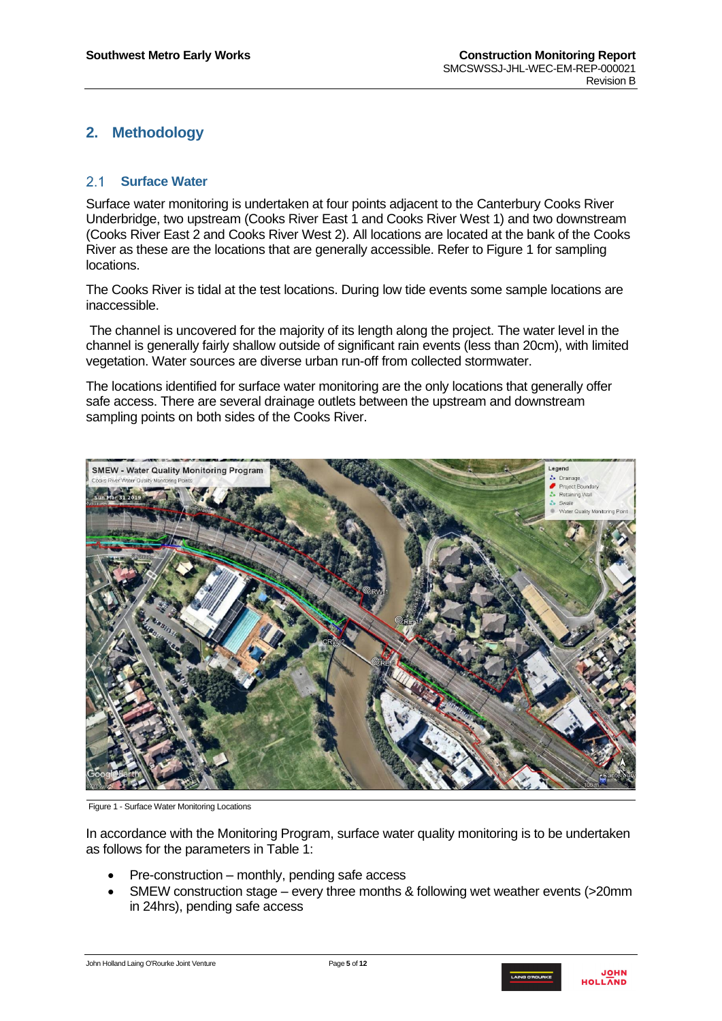# <span id="page-4-0"></span>**2. Methodology**

#### <span id="page-4-1"></span> $2.1$ **Surface Water**

Surface water monitoring is undertaken at four points adjacent to the Canterbury Cooks River Underbridge, two upstream (Cooks River East 1 and Cooks River West 1) and two downstream (Cooks River East 2 and Cooks River West 2). All locations are located at the bank of the Cooks River as these are the locations that are generally accessible. Refer to [Figure 1](#page-4-2) for sampling locations.

The Cooks River is tidal at the test locations. During low tide events some sample locations are inaccessible.

The channel is uncovered for the majority of its length along the project. The water level in the channel is generally fairly shallow outside of significant rain events (less than 20cm), with limited vegetation. Water sources are diverse urban run-off from collected stormwater.

The locations identified for surface water monitoring are the only locations that generally offer safe access. There are several drainage outlets between the upstream and downstream sampling points on both sides of the Cooks River.



Figure 1 - Surface Water Monitoring Locations

<span id="page-4-2"></span>In accordance with the Monitoring Program, surface water quality monitoring is to be undertaken as follows for the parameters in [Table 1:](#page-5-0)

- Pre-construction monthly, pending safe access
- SMEW construction stage every three months & following wet weather events (>20mm in 24hrs), pending safe access

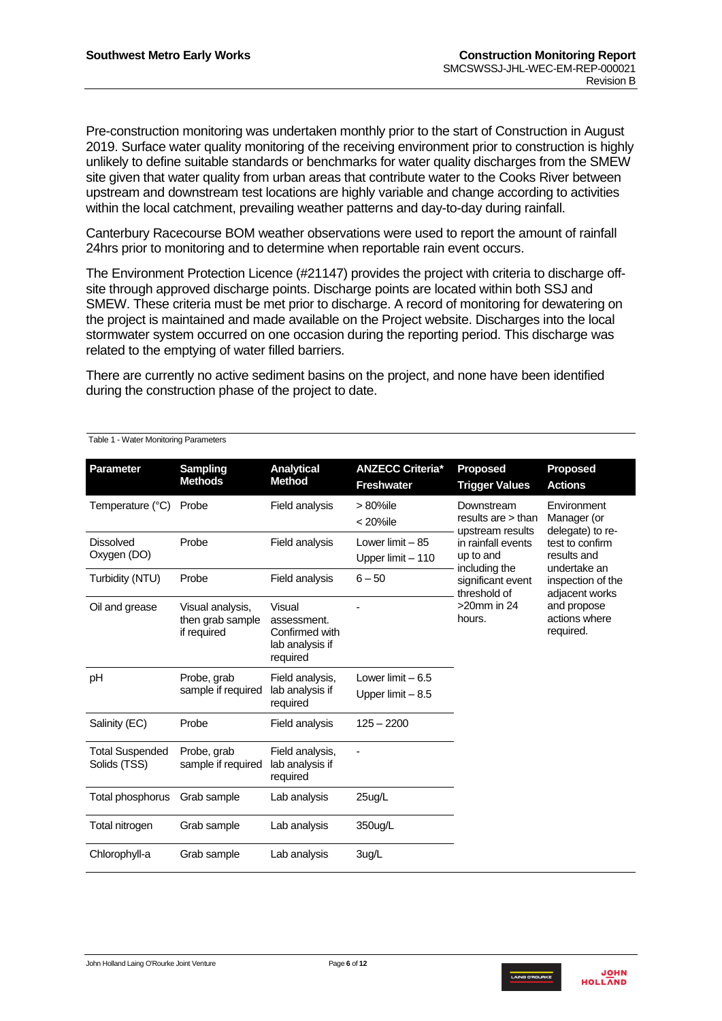Pre-construction monitoring was undertaken monthly prior to the start of Construction in August 2019. Surface water quality monitoring of the receiving environment prior to construction is highly unlikely to define suitable standards or benchmarks for water quality discharges from the SMEW site given that water quality from urban areas that contribute water to the Cooks River between upstream and downstream test locations are highly variable and change according to activities within the local catchment, prevailing weather patterns and day-to-day during rainfall.

Canterbury Racecourse BOM weather observations were used to report the amount of rainfall 24hrs prior to monitoring and to determine when reportable rain event occurs.

The Environment Protection Licence (#21147) provides the project with criteria to discharge offsite through approved discharge points. Discharge points are located within both SSJ and SMEW. These criteria must be met prior to discharge. A record of monitoring for dewatering on the project is maintained and made available on the Project website. Discharges into the local stormwater system occurred on one occasion during the reporting period. This discharge was related to the emptying of water filled barriers.

There are currently no active sediment basins on the project, and none have been identified during the construction phase of the project to date.

```
Table 1 - Water Monitoring Parameters
```

| <b>Parameter</b>                       | <b>Sampling</b><br><b>Methods</b>                   | <b>Analytical</b><br><b>Method</b>                                     | <b>ANZECC Criteria*</b><br><b>Freshwater</b>                   | <b>Proposed</b><br><b>Trigger Values</b>               | <b>Proposed</b><br><b>Actions</b>              |  |  |  |  |  |  |  |  |  |  |  |  |  |  |  |  |  |  |
|----------------------------------------|-----------------------------------------------------|------------------------------------------------------------------------|----------------------------------------------------------------|--------------------------------------------------------|------------------------------------------------|--|--|--|--|--|--|--|--|--|--|--|--|--|--|--|--|--|--|
| Temperature (°C)                       | Probe                                               | Field analysis                                                         | > 80%ile<br>< 20%ile                                           | Downstream<br>results are $>$ than<br>upstream results | Environment<br>Manager (or<br>delegate) to re- |  |  |  |  |  |  |  |  |  |  |  |  |  |  |  |  |  |  |
| <b>Dissolved</b><br>Oxygen (DO)        | Probe                                               | Field analysis                                                         | Lower limit $-85$<br>Upper limit - 110                         | in rainfall events<br>up to and                        | test to confirm<br>results and<br>undertake an |  |  |  |  |  |  |  |  |  |  |  |  |  |  |  |  |  |  |
| Turbidity (NTU)                        | Probe                                               | Field analysis                                                         | including the<br>$6 - 50$<br>significant event<br>threshold of |                                                        | inspection of the<br>adjacent works            |  |  |  |  |  |  |  |  |  |  |  |  |  |  |  |  |  |  |
| Oil and grease                         | Visual analysis,<br>then grab sample<br>if required | Visual<br>assessment.<br>Confirmed with<br>lab analysis if<br>required |                                                                | $>20$ mm in 24<br>hours.                               | and propose<br>actions where<br>required.      |  |  |  |  |  |  |  |  |  |  |  |  |  |  |  |  |  |  |
| pH                                     | Probe, grab<br>sample if required                   | Field analysis,<br>lab analysis if<br>required                         | Lower limit $-6.5$<br>Upper limit $-8.5$                       |                                                        |                                                |  |  |  |  |  |  |  |  |  |  |  |  |  |  |  |  |  |  |
| Salinity (EC)                          | Probe                                               | Field analysis                                                         | $125 - 2200$                                                   |                                                        |                                                |  |  |  |  |  |  |  |  |  |  |  |  |  |  |  |  |  |  |
| <b>Total Suspended</b><br>Solids (TSS) | Probe, grab<br>sample if required                   | Field analysis,<br>lab analysis if<br>required                         |                                                                |                                                        |                                                |  |  |  |  |  |  |  |  |  |  |  |  |  |  |  |  |  |  |
| Total phosphorus                       | Grab sample                                         | Lab analysis                                                           | 25ug/L                                                         |                                                        |                                                |  |  |  |  |  |  |  |  |  |  |  |  |  |  |  |  |  |  |
| Total nitrogen                         | Grab sample                                         | Lab analysis                                                           | 350ug/L                                                        |                                                        |                                                |  |  |  |  |  |  |  |  |  |  |  |  |  |  |  |  |  |  |
| Chlorophyll-a                          | Grab sample                                         | Lab analysis                                                           | 3ug/L                                                          |                                                        |                                                |  |  |  |  |  |  |  |  |  |  |  |  |  |  |  |  |  |  |

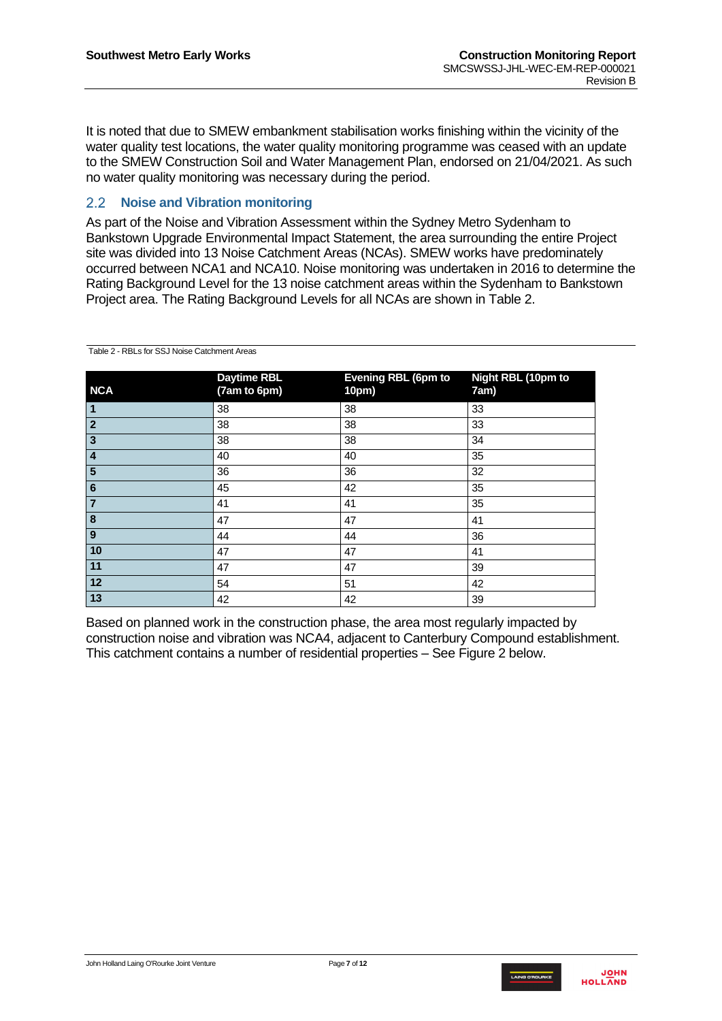It is noted that due to SMEW embankment stabilisation works finishing within the vicinity of the water quality test locations, the water quality monitoring programme was ceased with an update to the SMEW Construction Soil and Water Management Plan, endorsed on 21/04/2021. As such no water quality monitoring was necessary during the period.

#### <span id="page-6-0"></span> $2.2$ **Noise and Vibration monitoring**

As part of the Noise and Vibration Assessment within the Sydney Metro Sydenham to Bankstown Upgrade Environmental Impact Statement, the area surrounding the entire Project site was divided into 13 Noise Catchment Areas (NCAs). SMEW works have predominately occurred between NCA1 and NCA10. Noise monitoring was undertaken in 2016 to determine the Rating Background Level for the 13 noise catchment areas within the Sydenham to Bankstown Project area. The Rating Background Levels for all NCAs are shown in [Table 2.](#page-6-1)

| <b>NCA</b>              | <b>Daytime RBL</b><br>(7am to 6pm) | <b>Evening RBL (6pm to</b><br>10pm) | <b>Night RBL (10pm to</b><br>7am) |
|-------------------------|------------------------------------|-------------------------------------|-----------------------------------|
| $\vert$ 1               | 38                                 | 38                                  | 33                                |
| $\overline{2}$          | 38                                 | 38                                  | 33                                |
| ပြ                      | 38                                 | 38                                  | 34                                |
| $\overline{4}$          | 40                                 | 40                                  | 35                                |
| $\overline{5}$          | 36                                 | 36                                  | 32                                |
| 6                       | 45                                 | 42                                  | 35                                |
| $\overline{7}$          | 41                                 | 41                                  | 35                                |
| $\overline{\mathbf{8}}$ | 47                                 | 47                                  | 41                                |
| $\overline{\mathbf{e}}$ | 44                                 | 44                                  | 36                                |
| 10                      | 47                                 | 47                                  | 41                                |
| $\boxed{11}$            | 47                                 | 47                                  | 39                                |
| 12                      | 54                                 | 51                                  | 42                                |
| 13                      | 42                                 | 42                                  | 39                                |

<span id="page-6-1"></span>Table 2 - RBLs for SSJ Noise Catchment Areas

Based on planned work in the construction phase, the area most regularly impacted by construction noise and vibration was NCA4, adjacent to Canterbury Compound establishment. This catchment contains a number of residential properties – See [Figure 2](#page-7-2) below.

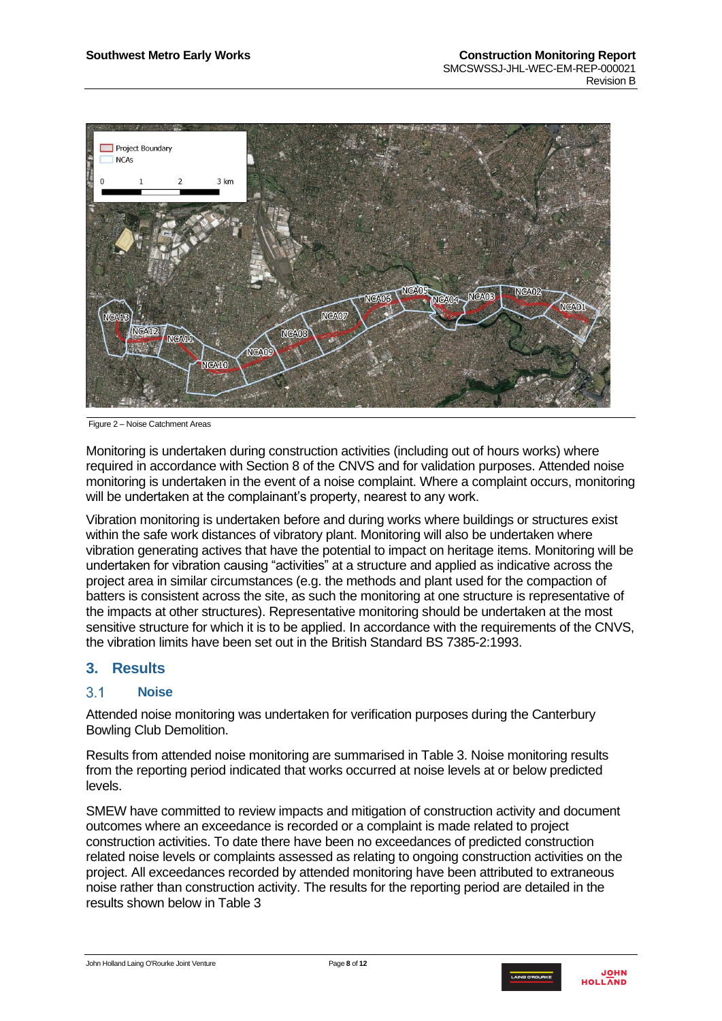

<span id="page-7-2"></span>Figure 2 – Noise Catchment Areas

Monitoring is undertaken during construction activities (including out of hours works) where required in accordance with Section 8 of the CNVS and for validation purposes. Attended noise monitoring is undertaken in the event of a noise complaint. Where a complaint occurs, monitoring will be undertaken at the complainant's property, nearest to any work.

Vibration monitoring is undertaken before and during works where buildings or structures exist within the safe work distances of vibratory plant. Monitoring will also be undertaken where vibration generating actives that have the potential to impact on heritage items. Monitoring will be undertaken for vibration causing "activities" at a structure and applied as indicative across the project area in similar circumstances (e.g. the methods and plant used for the compaction of batters is consistent across the site, as such the monitoring at one structure is representative of the impacts at other structures). Representative monitoring should be undertaken at the most sensitive structure for which it is to be applied. In accordance with the requirements of the CNVS, the vibration limits have been set out in the British Standard BS 7385-2:1993.

# <span id="page-7-0"></span>**3. Results**

#### <span id="page-7-1"></span> $3<sub>1</sub>$ **Noise**

Attended noise monitoring was undertaken for verification purposes during the Canterbury Bowling Club Demolition.

Results from attended noise monitoring are summarised in Table 3. Noise monitoring results from the reporting period indicated that works occurred at noise levels at or below predicted levels.

SMEW have committed to review impacts and mitigation of construction activity and document outcomes where an exceedance is recorded or a complaint is made related to project construction activities. To date there have been no exceedances of predicted construction related noise levels or complaints assessed as relating to ongoing construction activities on the project. All exceedances recorded by attended monitoring have been attributed to extraneous noise rather than construction activity. The results for the reporting period are detailed in the results shown below in [Table 3](#page-8-0)

John Holland Laing O'Rourke Joint Venture Page **8** of **12**

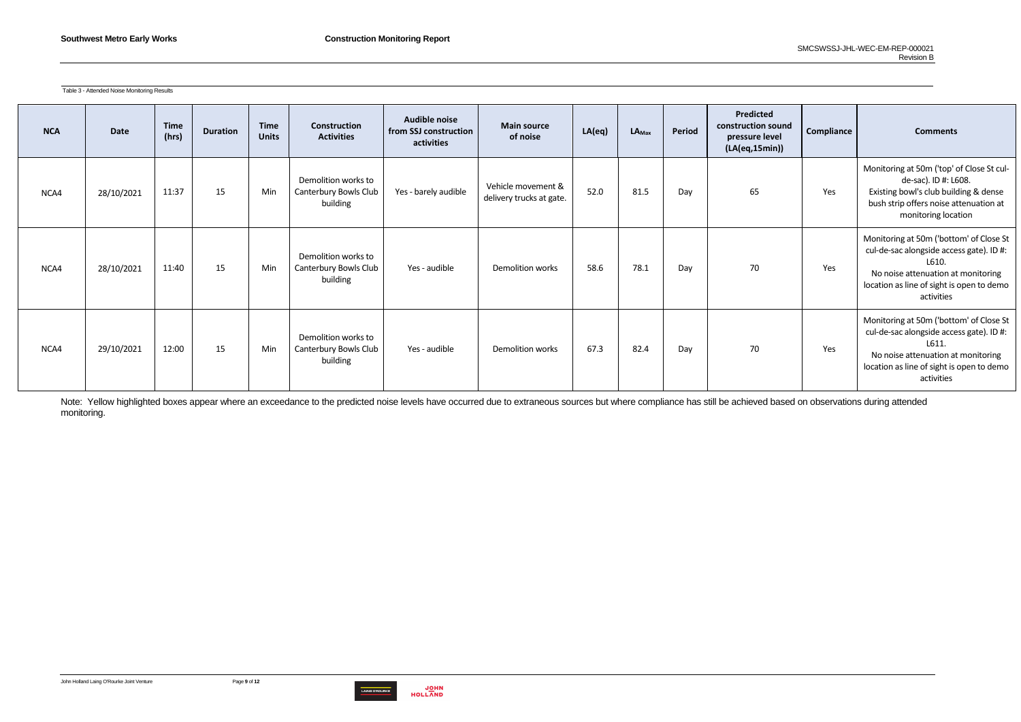

<span id="page-8-0"></span>Table 3 - Attended Noise Monitoring Results

| <b>NCA</b> | <b>Date</b> | <b>Time</b><br>(hrs) | <b>Duration</b> | <b>Time</b><br><b>Units</b> | <b>Construction</b><br><b>Activities</b>                 | Audible noise<br>from SSJ construction<br>activities | <b>Main source</b><br>of noise                 | LA(eq) | $LA_{\text{Max}}$ | Period | Predicted<br>construction sound<br>pressure level<br>(LA(eq,15min)) | Compliance | <b>Comments</b>                                                                                                                                                                               |
|------------|-------------|----------------------|-----------------|-----------------------------|----------------------------------------------------------|------------------------------------------------------|------------------------------------------------|--------|-------------------|--------|---------------------------------------------------------------------|------------|-----------------------------------------------------------------------------------------------------------------------------------------------------------------------------------------------|
| NCA4       | 28/10/2021  | 11:37                | 15              | Min                         | Demolition works to<br>Canterbury Bowls Club<br>building | Yes - barely audible                                 | Vehicle movement &<br>delivery trucks at gate. | 52.0   | 81.5              | Day    | 65                                                                  | Yes        | Monitoring at 50m ('top' of Close St cul-<br>de-sac). ID #: L608.<br>Existing bowl's club building & dense<br>bush strip offers noise attenuation at<br>monitoring location                   |
| NCA4       | 28/10/2021  | 11:40                | 15              | Min                         | Demolition works to<br>Canterbury Bowls Club<br>building | Yes - audible                                        | Demolition works                               | 58.6   | 78.1              | Day    | 70                                                                  | Yes        | Monitoring at 50m ('bottom' of Close St<br>cul-de-sac alongside access gate). ID #:<br>L610.<br>No noise attenuation at monitoring<br>location as line of sight is open to demo<br>activities |
| NCA4       | 29/10/2021  | 12:00                | 15              | Min                         | Demolition works to<br>Canterbury Bowls Club<br>building | Yes - audible                                        | Demolition works                               | 67.3   | 82.4              | Day    | 70                                                                  | Yes        | Monitoring at 50m ('bottom' of Close St<br>cul-de-sac alongside access gate). ID #:<br>L611.<br>No noise attenuation at monitoring<br>location as line of sight is open to demo<br>activities |

Note: Yellow highlighted boxes appear where an exceedance to the predicted noise levels have occurred due to extraneous sources but where compliance has still be achieved based on observations during attended monitoring.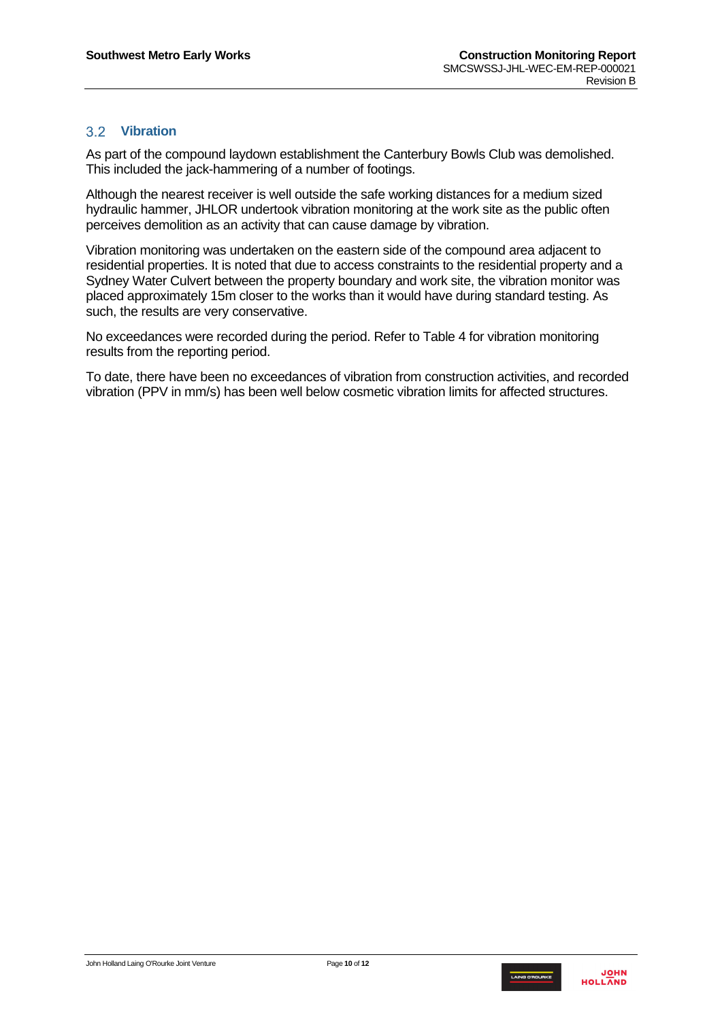### <span id="page-9-0"></span>**Vibration**

As part of the compound laydown establishment the Canterbury Bowls Club was demolished. This included the jack-hammering of a number of footings.

Although the nearest receiver is well outside the safe working distances for a medium sized hydraulic hammer, JHLOR undertook vibration monitoring at the work site as the public often perceives demolition as an activity that can cause damage by vibration.

Vibration monitoring was undertaken on the eastern side of the compound area adjacent to residential properties. It is noted that due to access constraints to the residential property and a Sydney Water Culvert between the property boundary and work site, the vibration monitor was placed approximately 15m closer to the works than it would have during standard testing. As such, the results are very conservative.

No exceedances were recorded during the period. Refer to Table 4 for vibration monitoring results from the reporting period.

To date, there have been no exceedances of vibration from construction activities, and recorded vibration (PPV in mm/s) has been well below cosmetic vibration limits for affected structures.

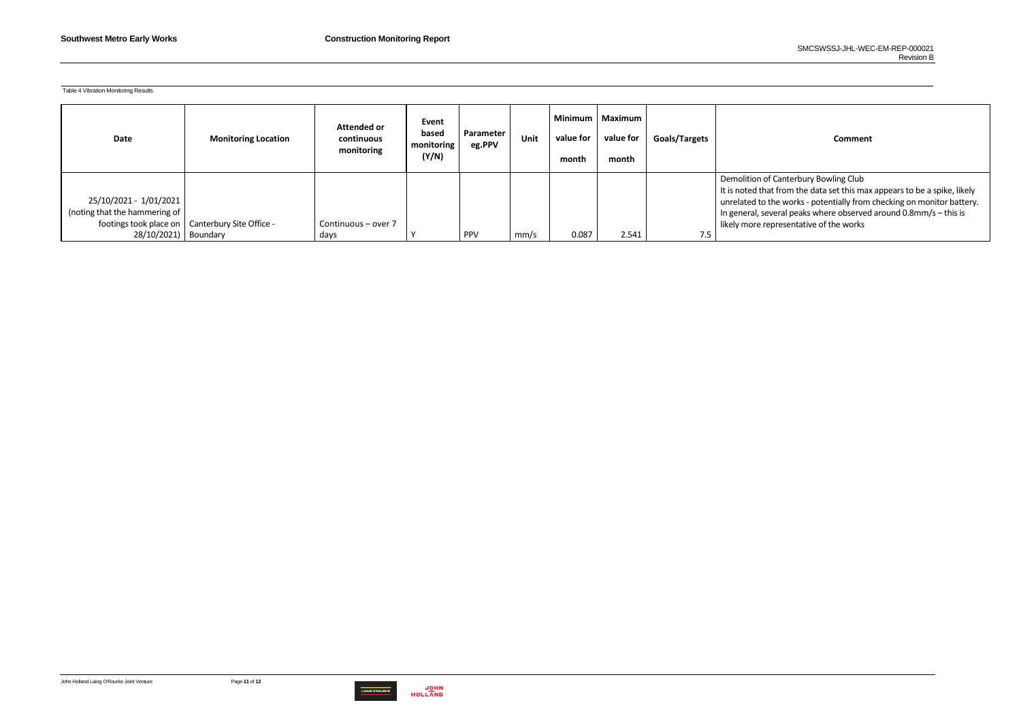

Table 4 Vibration Monitoring Results

### **value for value for Goals/Targets Comment**

**Canterbury Bowling Club** It from the data set this max appears to be a spike, likely the works - potentially from checking on monitor battery. veral peaks where observed around 0.8mm/s – this is presentative of the works

| Date                                                                                             | <b>Monitoring Location</b>           | <b>Attended or</b><br>continuous<br>monitoring | Event<br>based<br>monitoring<br>(Y/N) | Parameter<br>eg.PPV | <b>Unit</b> | Minimum<br>value for<br>month | Maximum<br>value for<br>month | Goals/Targets |                                                                                            |
|--------------------------------------------------------------------------------------------------|--------------------------------------|------------------------------------------------|---------------------------------------|---------------------|-------------|-------------------------------|-------------------------------|---------------|--------------------------------------------------------------------------------------------|
| 25/10/2021 - 1/01/2021<br>(noting that the hammering of<br>footings took place on<br>28/10/2021) | Canterbury Site Office -<br>Boundary | Continuous - over 7<br>days                    |                                       | <b>PPV</b>          | mm/s        | 0.087                         | 2.541                         | 7.5           | Demolition of<br>It is noted that<br>unrelated to th<br>In general, sev<br>likely more rep |